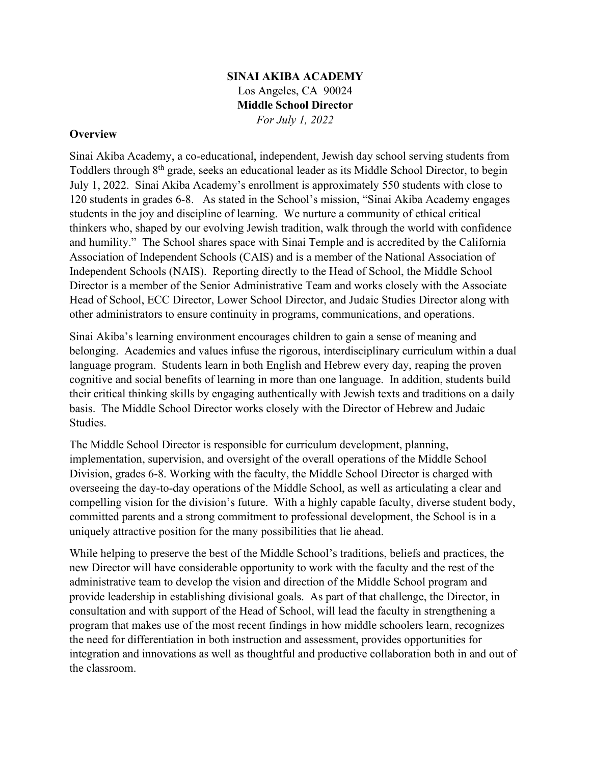## **SINAI AKIBA ACADEMY** Los Angeles, CA 90024 **Middle School Director** *For July 1, 2022*

#### **Overview**

Sinai Akiba Academy, a co-educational, independent, Jewish day school serving students from Toddlers through 8<sup>th</sup> grade, seeks an educational leader as its Middle School Director, to begin July 1, 2022. Sinai Akiba Academy's enrollment is approximately 550 students with close to 120 students in grades 6-8. As stated in the School's mission, "Sinai Akiba Academy engages students in the joy and discipline of learning. We nurture a community of ethical critical thinkers who, shaped by our evolving Jewish tradition, walk through the world with confidence and humility." The School shares space with Sinai Temple and is accredited by the California Association of Independent Schools (CAIS) and is a member of the National Association of Independent Schools (NAIS). Reporting directly to the Head of School, the Middle School Director is a member of the Senior Administrative Team and works closely with the Associate Head of School, ECC Director, Lower School Director, and Judaic Studies Director along with other administrators to ensure continuity in programs, communications, and operations.

Sinai Akiba's learning environment encourages children to gain a sense of meaning and belonging. Academics and values infuse the rigorous, interdisciplinary curriculum within a dual language program. Students learn in both English and Hebrew every day, reaping the proven cognitive and social benefits of learning in more than one language. In addition, students build their critical thinking skills by engaging authentically with Jewish texts and traditions on a daily basis. The Middle School Director works closely with the Director of Hebrew and Judaic Studies.

The Middle School Director is responsible for curriculum development, planning, implementation, supervision, and oversight of the overall operations of the Middle School Division, grades 6-8. Working with the faculty, the Middle School Director is charged with overseeing the day-to-day operations of the Middle School, as well as articulating a clear and compelling vision for the division's future. With a highly capable faculty, diverse student body, committed parents and a strong commitment to professional development, the School is in a uniquely attractive position for the many possibilities that lie ahead.

While helping to preserve the best of the Middle School's traditions, beliefs and practices, the new Director will have considerable opportunity to work with the faculty and the rest of the administrative team to develop the vision and direction of the Middle School program and provide leadership in establishing divisional goals. As part of that challenge, the Director, in consultation and with support of the Head of School, will lead the faculty in strengthening a program that makes use of the most recent findings in how middle schoolers learn, recognizes the need for differentiation in both instruction and assessment, provides opportunities for integration and innovations as well as thoughtful and productive collaboration both in and out of the classroom.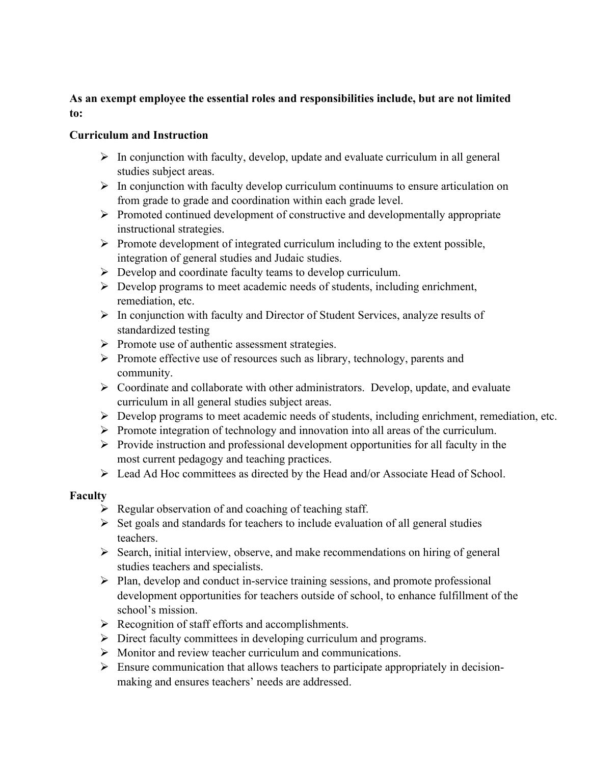# **As an exempt employee the essential roles and responsibilities include, but are not limited to:**

## **Curriculum and Instruction**

- $\triangleright$  In conjunction with faculty, develop, update and evaluate curriculum in all general studies subject areas.
- $\triangleright$  In conjunction with faculty develop curriculum continuums to ensure articulation on from grade to grade and coordination within each grade level.
- $\triangleright$  Promoted continued development of constructive and developmentally appropriate instructional strategies.
- $\triangleright$  Promote development of integrated curriculum including to the extent possible, integration of general studies and Judaic studies.
- $\triangleright$  Develop and coordinate faculty teams to develop curriculum.
- $\triangleright$  Develop programs to meet academic needs of students, including enrichment, remediation, etc.
- $\triangleright$  In conjunction with faculty and Director of Student Services, analyze results of standardized testing
- $\triangleright$  Promote use of authentic assessment strategies.
- $\triangleright$  Promote effective use of resources such as library, technology, parents and community.
- $\triangleright$  Coordinate and collaborate with other administrators. Develop, update, and evaluate curriculum in all general studies subject areas.
- $\triangleright$  Develop programs to meet academic needs of students, including enrichment, remediation, etc.
- $\triangleright$  Promote integration of technology and innovation into all areas of the curriculum.
- $\triangleright$  Provide instruction and professional development opportunities for all faculty in the most current pedagogy and teaching practices.
- Lead Ad Hoc committees as directed by the Head and/or Associate Head of School.

## **Faculty**

- $\triangleright$  Regular observation of and coaching of teaching staff.
- $\triangleright$  Set goals and standards for teachers to include evaluation of all general studies teachers.
- $\triangleright$  Search, initial interview, observe, and make recommendations on hiring of general studies teachers and specialists.
- $\triangleright$  Plan, develop and conduct in-service training sessions, and promote professional development opportunities for teachers outside of school, to enhance fulfillment of the school's mission.
- $\triangleright$  Recognition of staff efforts and accomplishments.
- Direct faculty committees in developing curriculum and programs.
- Monitor and review teacher curriculum and communications.
- $\triangleright$  Ensure communication that allows teachers to participate appropriately in decisionmaking and ensures teachers' needs are addressed.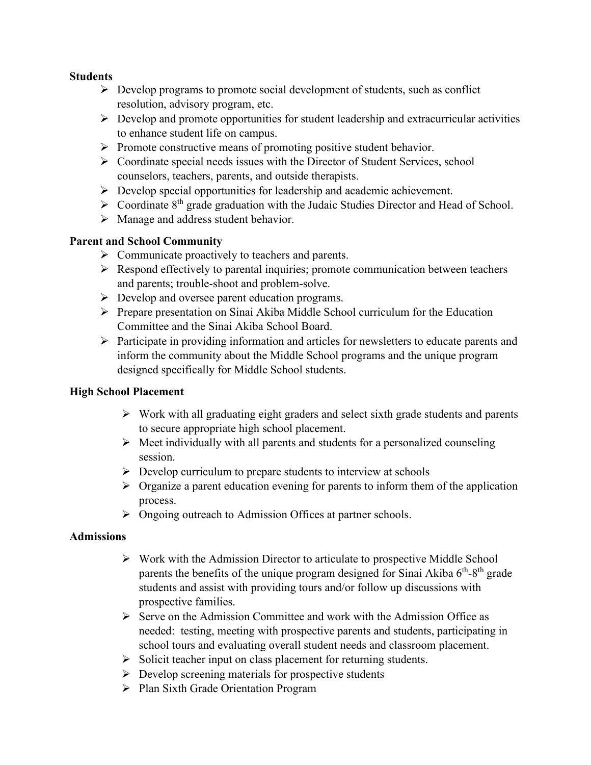#### **Students**

- $\triangleright$  Develop programs to promote social development of students, such as conflict resolution, advisory program, etc.
- $\triangleright$  Develop and promote opportunities for student leadership and extracurricular activities to enhance student life on campus.
- $\triangleright$  Promote constructive means of promoting positive student behavior.
- Coordinate special needs issues with the Director of Student Services, school counselors, teachers, parents, and outside therapists.
- $\triangleright$  Develop special opportunities for leadership and academic achievement.
- $\triangleright$  Coordinate 8<sup>th</sup> grade graduation with the Judaic Studies Director and Head of School.
- > Manage and address student behavior.

## **Parent and School Community**

- $\triangleright$  Communicate proactively to teachers and parents.
- $\triangleright$  Respond effectively to parental inquiries; promote communication between teachers and parents; trouble-shoot and problem-solve.
- ▶ Develop and oversee parent education programs.
- $\triangleright$  Prepare presentation on Sinai Akiba Middle School curriculum for the Education Committee and the Sinai Akiba School Board.
- $\triangleright$  Participate in providing information and articles for newsletters to educate parents and inform the community about the Middle School programs and the unique program designed specifically for Middle School students.

## **High School Placement**

- $\triangleright$  Work with all graduating eight graders and select sixth grade students and parents to secure appropriate high school placement.
- $\triangleright$  Meet individually with all parents and students for a personalized counseling session.
- $\triangleright$  Develop curriculum to prepare students to interview at schools
- $\triangleright$  Organize a parent education evening for parents to inform them of the application process.
- $\triangleright$  Ongoing outreach to Admission Offices at partner schools.

## **Admissions**

- $\triangleright$  Work with the Admission Director to articulate to prospective Middle School parents the benefits of the unique program designed for Sinai Akiba  $6<sup>th</sup>-8<sup>th</sup>$  grade students and assist with providing tours and/or follow up discussions with prospective families.
- $\triangleright$  Serve on the Admission Committee and work with the Admission Office as needed: testing, meeting with prospective parents and students, participating in school tours and evaluating overall student needs and classroom placement.
- $\triangleright$  Solicit teacher input on class placement for returning students.
- $\triangleright$  Develop screening materials for prospective students
- Plan Sixth Grade Orientation Program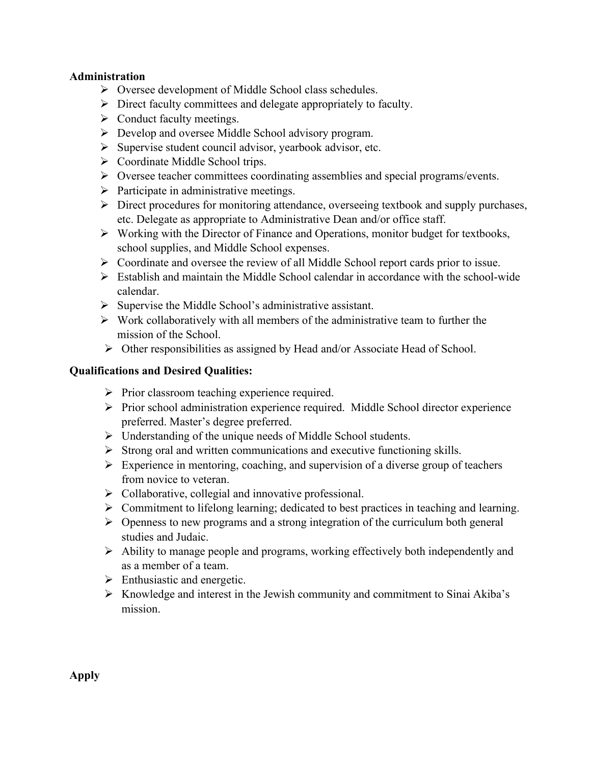#### **Administration**

- Oversee development of Middle School class schedules.
- $\triangleright$  Direct faculty committees and delegate appropriately to faculty.
- $\triangleright$  Conduct faculty meetings.
- Develop and oversee Middle School advisory program.
- $\triangleright$  Supervise student council advisor, yearbook advisor, etc.
- ▶ Coordinate Middle School trips.
- $\triangleright$  Oversee teacher committees coordinating assemblies and special programs/events.
- $\triangleright$  Participate in administrative meetings.
- $\triangleright$  Direct procedures for monitoring attendance, overseeing textbook and supply purchases, etc. Delegate as appropriate to Administrative Dean and/or office staff.
- $\triangleright$  Working with the Director of Finance and Operations, monitor budget for textbooks, school supplies, and Middle School expenses.
- $\triangleright$  Coordinate and oversee the review of all Middle School report cards prior to issue.
- $\triangleright$  Establish and maintain the Middle School calendar in accordance with the school-wide calendar.
- $\triangleright$  Supervise the Middle School's administrative assistant.
- $\triangleright$  Work collaboratively with all members of the administrative team to further the mission of the School.
- Other responsibilities as assigned by Head and/or Associate Head of School.

## **Qualifications and Desired Qualities:**

- $\triangleright$  Prior classroom teaching experience required.
- $\triangleright$  Prior school administration experience required. Middle School director experience preferred. Master's degree preferred.
- $\triangleright$  Understanding of the unique needs of Middle School students.
- $\triangleright$  Strong oral and written communications and executive functioning skills.
- $\triangleright$  Experience in mentoring, coaching, and supervision of a diverse group of teachers from novice to veteran.
- $\triangleright$  Collaborative, collegial and innovative professional.
- $\triangleright$  Commitment to lifelong learning; dedicated to best practices in teaching and learning.
- $\triangleright$  Openness to new programs and a strong integration of the curriculum both general studies and Judaic.
- $\triangleright$  Ability to manage people and programs, working effectively both independently and as a member of a team.
- $\triangleright$  Enthusiastic and energetic.
- $\triangleright$  Knowledge and interest in the Jewish community and commitment to Sinai Akiba's mission.

**Apply**